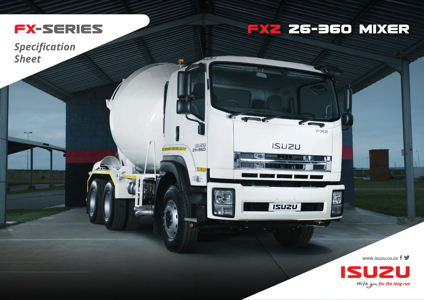

 $\sqrt{2}$ 

## **FX2 26-960 MIXER**

**FX2** 

**ISUZU** 

**USUZI** 

**ISUZU**<br>26-360

 $\blacksquare$ 

**Specification Sheet** 

www.isuzu.co.za f